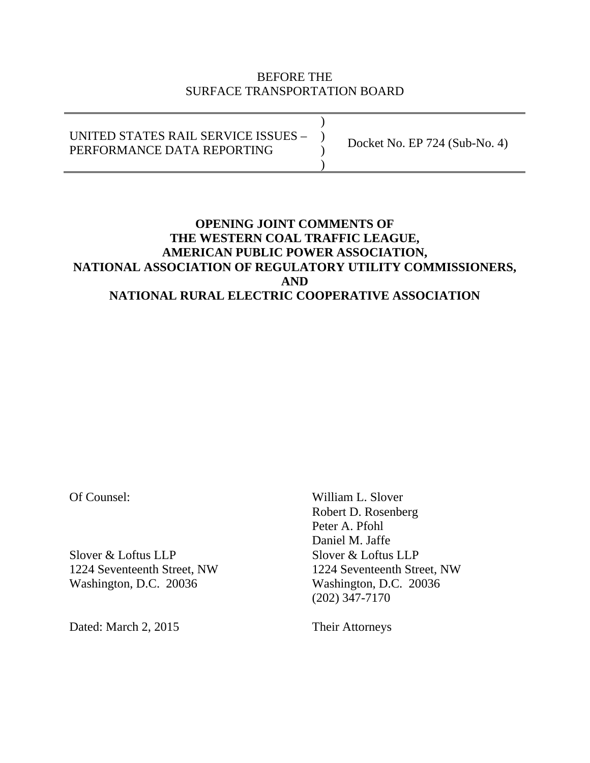## BEFORE THE SURFACE TRANSPORTATION BOARD

 $)$ UNITED STATES RAIL SERVICE ISSUES – ) PERFORMANCE DATA REPORTING  $)$ Docket No. EP 724 (Sub-No. 4)

## **OPENING JOINT COMMENTS OF THE WESTERN COAL TRAFFIC LEAGUE, AMERICAN PUBLIC POWER ASSOCIATION, NATIONAL ASSOCIATION OF REGULATORY UTILITY COMMISSIONERS, AND NATIONAL RURAL ELECTRIC COOPERATIVE ASSOCIATION**

Slover & Loftus LLP<br>Slover & Loftus LLP 1224 Seventeenth Street, NW 1224 Seventeenth Street, NW Washington, D.C. 20036 Washington, D.C. 20036

Dated: March 2, 2015 Their Attorneys

Of Counsel: William L. Slover Robert D. Rosenberg Peter A. Pfohl Daniel M. Jaffe (202) 347-7170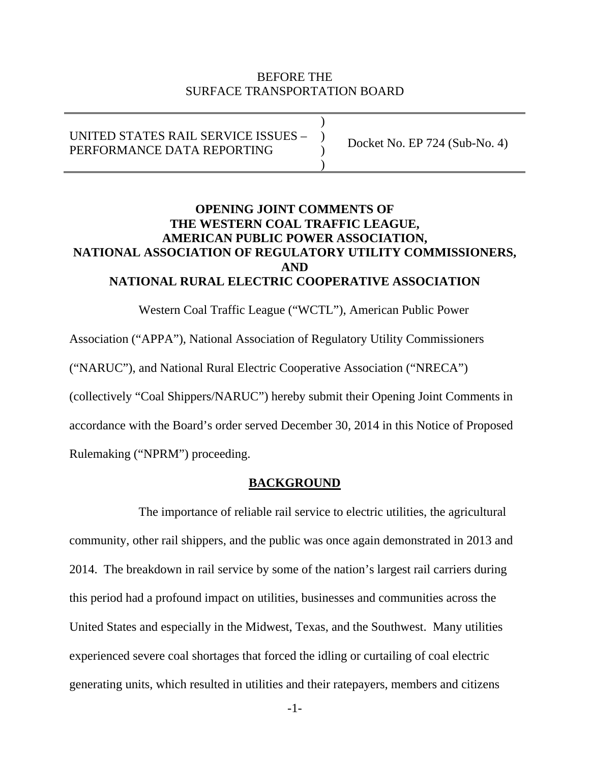### BEFORE THE SURFACE TRANSPORTATION BOARD

UNITED STATES RAIL SERVICE ISSUES – ) PERFORMANCE DATA REPORTING  $)$ 

 $)$ 

Docket No. EP 724 (Sub-No. 4)

## **OPENING JOINT COMMENTS OF THE WESTERN COAL TRAFFIC LEAGUE, AMERICAN PUBLIC POWER ASSOCIATION, NATIONAL ASSOCIATION OF REGULATORY UTILITY COMMISSIONERS, AND NATIONAL RURAL ELECTRIC COOPERATIVE ASSOCIATION**

Western Coal Traffic League ("WCTL"), American Public Power

Association ("APPA"), National Association of Regulatory Utility Commissioners

("NARUC"), and National Rural Electric Cooperative Association ("NRECA")

(collectively "Coal Shippers/NARUC") hereby submit their Opening Joint Comments in

accordance with the Board's order served December 30, 2014 in this Notice of Proposed

Rulemaking ("NPRM") proceeding.

#### **BACKGROUND**

 The importance of reliable rail service to electric utilities, the agricultural community, other rail shippers, and the public was once again demonstrated in 2013 and 2014. The breakdown in rail service by some of the nation's largest rail carriers during this period had a profound impact on utilities, businesses and communities across the United States and especially in the Midwest, Texas, and the Southwest. Many utilities experienced severe coal shortages that forced the idling or curtailing of coal electric generating units, which resulted in utilities and their ratepayers, members and citizens

-1-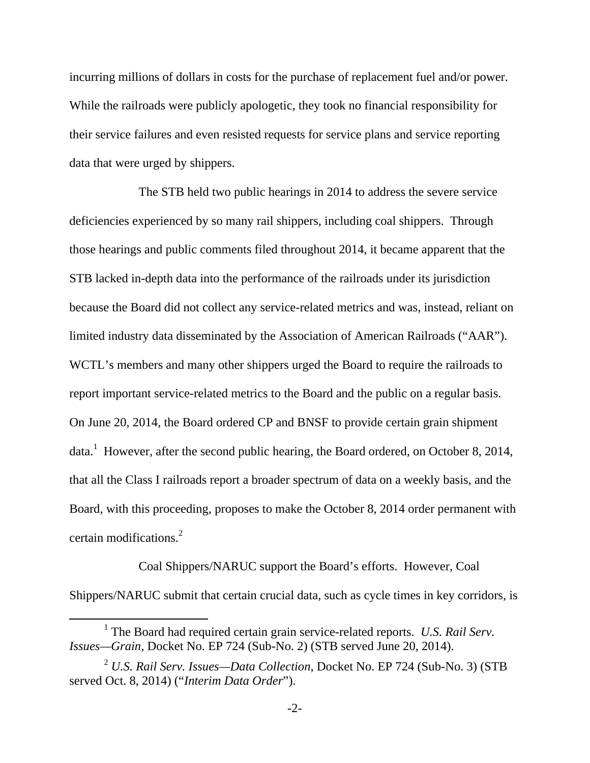incurring millions of dollars in costs for the purchase of replacement fuel and/or power. While the railroads were publicly apologetic, they took no financial responsibility for their service failures and even resisted requests for service plans and service reporting data that were urged by shippers.

 The STB held two public hearings in 2014 to address the severe service deficiencies experienced by so many rail shippers, including coal shippers. Through those hearings and public comments filed throughout 2014, it became apparent that the STB lacked in-depth data into the performance of the railroads under its jurisdiction because the Board did not collect any service-related metrics and was, instead, reliant on limited industry data disseminated by the Association of American Railroads ("AAR"). WCTL's members and many other shippers urged the Board to require the railroads to report important service-related metrics to the Board and the public on a regular basis. On June 20, 2014, the Board ordered CP and BNSF to provide certain grain shipment data.<sup>1</sup> However, after the second public hearing, the Board ordered, on October 8, 2014, that all the Class I railroads report a broader spectrum of data on a weekly basis, and the Board, with this proceeding, proposes to make the October 8, 2014 order permanent with certain modifications.<sup>2</sup>

 Coal Shippers/NARUC support the Board's efforts. However, Coal Shippers/NARUC submit that certain crucial data, such as cycle times in key corridors, is

<sup>&</sup>lt;u>1</u> The Board had required certain grain service-related reports. *U.S. Rail Serv. Issues—Grain*, Docket No. EP 724 (Sub-No. 2) (STB served June 20, 2014).

<sup>2</sup> *U.S. Rail Serv. Issues—Data Collection*, Docket No. EP 724 (Sub-No. 3) (STB served Oct. 8, 2014) ("*Interim Data Order*").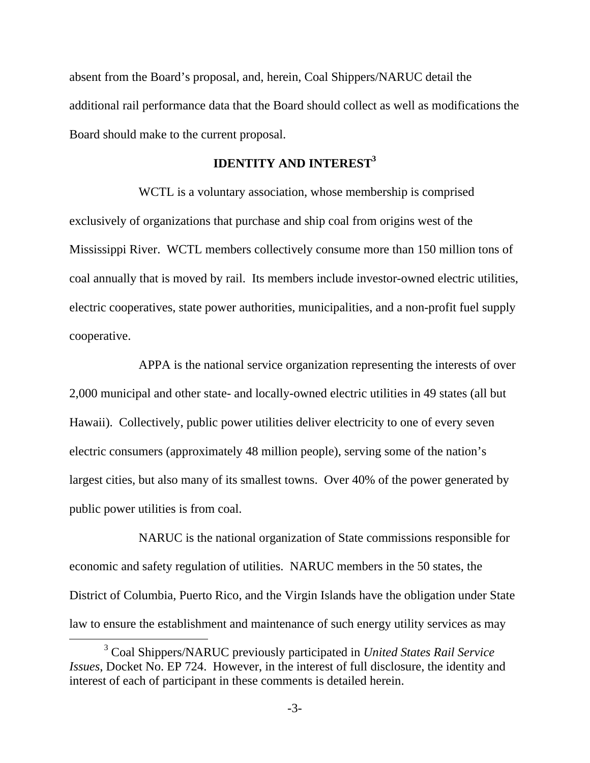absent from the Board's proposal, and, herein, Coal Shippers/NARUC detail the additional rail performance data that the Board should collect as well as modifications the Board should make to the current proposal.

## **IDENTITY AND INTEREST<sup>3</sup>**

 WCTL is a voluntary association, whose membership is comprised exclusively of organizations that purchase and ship coal from origins west of the Mississippi River. WCTL members collectively consume more than 150 million tons of coal annually that is moved by rail. Its members include investor-owned electric utilities, electric cooperatives, state power authorities, municipalities, and a non-profit fuel supply cooperative.

 APPA is the national service organization representing the interests of over 2,000 municipal and other state- and locally-owned electric utilities in 49 states (all but Hawaii). Collectively, public power utilities deliver electricity to one of every seven electric consumers (approximately 48 million people), serving some of the nation's largest cities, but also many of its smallest towns. Over 40% of the power generated by public power utilities is from coal.

 NARUC is the national organization of State commissions responsible for economic and safety regulation of utilities. NARUC members in the 50 states, the District of Columbia, Puerto Rico, and the Virgin Islands have the obligation under State law to ensure the establishment and maintenance of such energy utility services as may

 $\frac{1}{3}$  Coal Shippers/NARUC previously participated in *United States Rail Service Issues*, Docket No. EP 724. However, in the interest of full disclosure, the identity and interest of each of participant in these comments is detailed herein.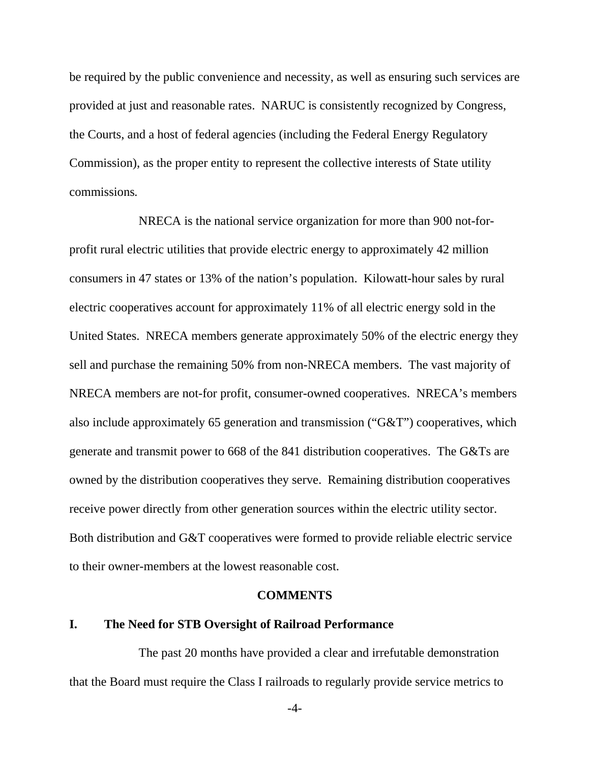be required by the public convenience and necessity, as well as ensuring such services are provided at just and reasonable rates. NARUC is consistently recognized by Congress, the Courts, and a host of federal agencies (including the Federal Energy Regulatory Commission), as the proper entity to represent the collective interests of State utility commissions*.*

 NRECA is the national service organization for more than 900 not-forprofit rural electric utilities that provide electric energy to approximately 42 million consumers in 47 states or 13% of the nation's population. Kilowatt-hour sales by rural electric cooperatives account for approximately 11% of all electric energy sold in the United States. NRECA members generate approximately 50% of the electric energy they sell and purchase the remaining 50% from non-NRECA members. The vast majority of NRECA members are not-for profit, consumer-owned cooperatives. NRECA's members also include approximately 65 generation and transmission ("G&T") cooperatives, which generate and transmit power to 668 of the 841 distribution cooperatives. The G&Ts are owned by the distribution cooperatives they serve. Remaining distribution cooperatives receive power directly from other generation sources within the electric utility sector. Both distribution and G&T cooperatives were formed to provide reliable electric service to their owner-members at the lowest reasonable cost.

#### **COMMENTS**

## **I. The Need for STB Oversight of Railroad Performance**

The past 20 months have provided a clear and irrefutable demonstration that the Board must require the Class I railroads to regularly provide service metrics to

-4-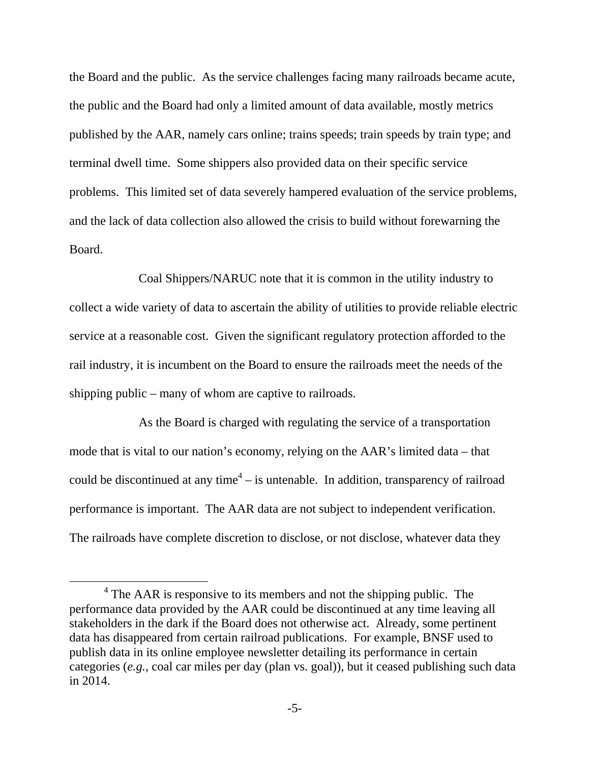the Board and the public. As the service challenges facing many railroads became acute, the public and the Board had only a limited amount of data available, mostly metrics published by the AAR, namely cars online; trains speeds; train speeds by train type; and terminal dwell time. Some shippers also provided data on their specific service problems. This limited set of data severely hampered evaluation of the service problems, and the lack of data collection also allowed the crisis to build without forewarning the Board.

 Coal Shippers/NARUC note that it is common in the utility industry to collect a wide variety of data to ascertain the ability of utilities to provide reliable electric service at a reasonable cost. Given the significant regulatory protection afforded to the rail industry, it is incumbent on the Board to ensure the railroads meet the needs of the shipping public – many of whom are captive to railroads.

 As the Board is charged with regulating the service of a transportation mode that is vital to our nation's economy, relying on the AAR's limited data – that could be discontinued at any time<sup>4</sup>  $-$  is untenable. In addition, transparency of railroad performance is important. The AAR data are not subject to independent verification. The railroads have complete discretion to disclose, or not disclose, whatever data they

 $\overline{4}$  $4$  The AAR is responsive to its members and not the shipping public. The performance data provided by the AAR could be discontinued at any time leaving all stakeholders in the dark if the Board does not otherwise act. Already, some pertinent data has disappeared from certain railroad publications. For example, BNSF used to publish data in its online employee newsletter detailing its performance in certain categories (*e.g.*, coal car miles per day (plan vs. goal)), but it ceased publishing such data in 2014.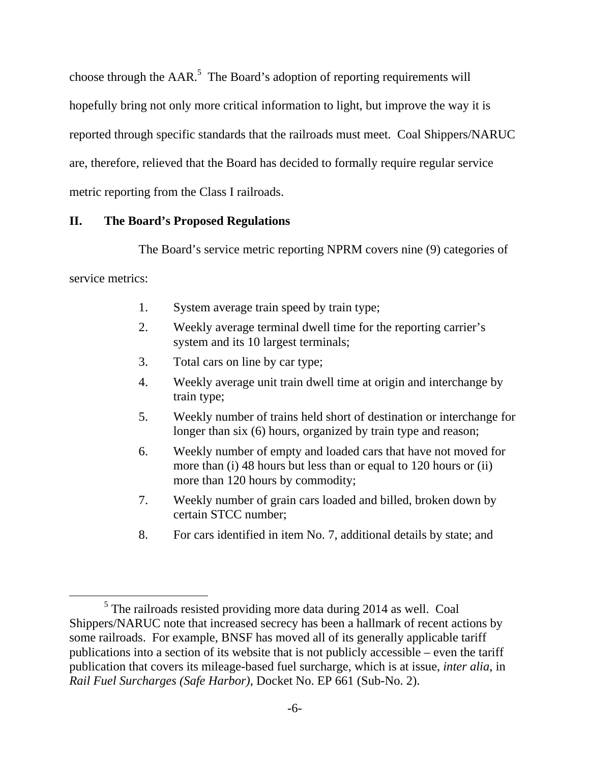choose through the  $AAR$ <sup>5</sup>. The Board's adoption of reporting requirements will hopefully bring not only more critical information to light, but improve the way it is reported through specific standards that the railroads must meet. Coal Shippers/NARUC are, therefore, relieved that the Board has decided to formally require regular service metric reporting from the Class I railroads.

# **II. The Board's Proposed Regulations**

The Board's service metric reporting NPRM covers nine (9) categories of

service metrics:

- 1. System average train speed by train type;
- 2. Weekly average terminal dwell time for the reporting carrier's system and its 10 largest terminals;
- 3. Total cars on line by car type;
- 4. Weekly average unit train dwell time at origin and interchange by train type;
- 5. Weekly number of trains held short of destination or interchange for longer than six (6) hours, organized by train type and reason;
- 6. Weekly number of empty and loaded cars that have not moved for more than (i) 48 hours but less than or equal to 120 hours or (ii) more than 120 hours by commodity;
- 7. Weekly number of grain cars loaded and billed, broken down by certain STCC number;
- 8. For cars identified in item No. 7, additional details by state; and

 $\frac{1}{5}$  $5$  The railroads resisted providing more data during 2014 as well. Coal Shippers/NARUC note that increased secrecy has been a hallmark of recent actions by some railroads. For example, BNSF has moved all of its generally applicable tariff publications into a section of its website that is not publicly accessible – even the tariff publication that covers its mileage-based fuel surcharge, which is at issue, *inter alia*, in *Rail Fuel Surcharges (Safe Harbor)*, Docket No. EP 661 (Sub-No. 2).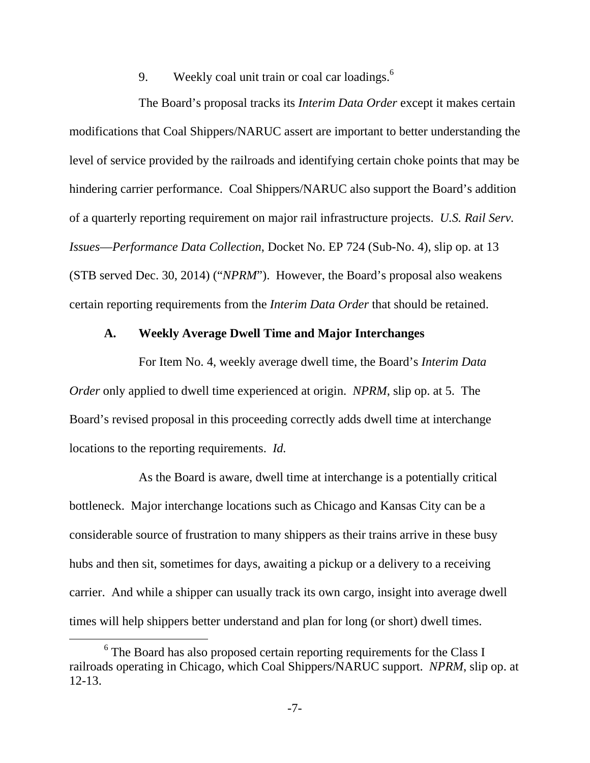9. Weekly coal unit train or coal car loadings.<sup>6</sup>

 The Board's proposal tracks its *Interim Data Order* except it makes certain modifications that Coal Shippers/NARUC assert are important to better understanding the level of service provided by the railroads and identifying certain choke points that may be hindering carrier performance. Coal Shippers/NARUC also support the Board's addition of a quarterly reporting requirement on major rail infrastructure projects. *U.S. Rail Serv. Issues*—*Performance Data Collection*, Docket No. EP 724 (Sub-No. 4), slip op. at 13 (STB served Dec. 30, 2014) ("*NPRM*"). However, the Board's proposal also weakens certain reporting requirements from the *Interim Data Order* that should be retained.

#### **A. Weekly Average Dwell Time and Major Interchanges**

 For Item No. 4, weekly average dwell time, the Board's *Interim Data Order* only applied to dwell time experienced at origin. *NPRM*, slip op. at 5. The Board's revised proposal in this proceeding correctly adds dwell time at interchange locations to the reporting requirements. *Id.*

 As the Board is aware, dwell time at interchange is a potentially critical bottleneck. Major interchange locations such as Chicago and Kansas City can be a considerable source of frustration to many shippers as their trains arrive in these busy hubs and then sit, sometimes for days, awaiting a pickup or a delivery to a receiving carrier. And while a shipper can usually track its own cargo, insight into average dwell times will help shippers better understand and plan for long (or short) dwell times.

 <sup>6</sup> <sup>6</sup> The Board has also proposed certain reporting requirements for the Class I railroads operating in Chicago, which Coal Shippers/NARUC support. *NPRM*, slip op. at 12-13.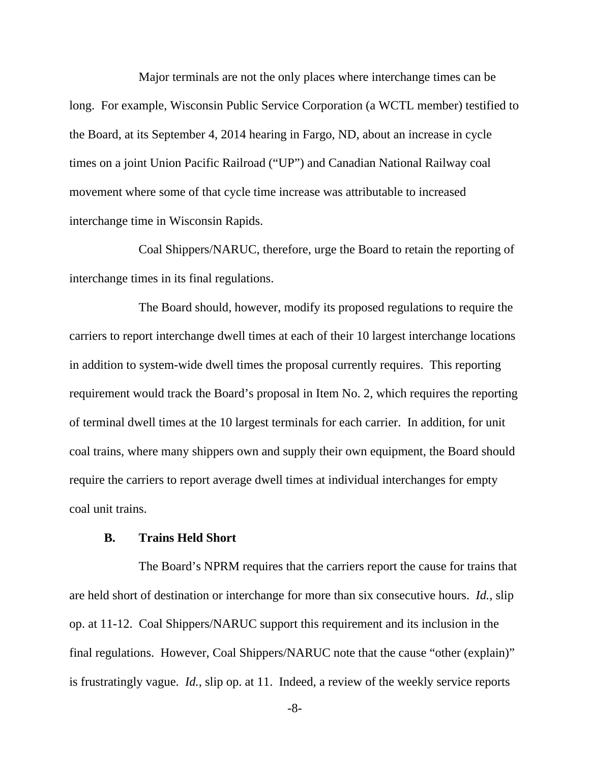Major terminals are not the only places where interchange times can be long. For example, Wisconsin Public Service Corporation (a WCTL member) testified to the Board, at its September 4, 2014 hearing in Fargo, ND, about an increase in cycle times on a joint Union Pacific Railroad ("UP") and Canadian National Railway coal movement where some of that cycle time increase was attributable to increased interchange time in Wisconsin Rapids.

 Coal Shippers/NARUC, therefore, urge the Board to retain the reporting of interchange times in its final regulations.

 The Board should, however, modify its proposed regulations to require the carriers to report interchange dwell times at each of their 10 largest interchange locations in addition to system-wide dwell times the proposal currently requires. This reporting requirement would track the Board's proposal in Item No. 2, which requires the reporting of terminal dwell times at the 10 largest terminals for each carrier. In addition, for unit coal trains, where many shippers own and supply their own equipment, the Board should require the carriers to report average dwell times at individual interchanges for empty coal unit trains.

#### **B. Trains Held Short**

 The Board's NPRM requires that the carriers report the cause for trains that are held short of destination or interchange for more than six consecutive hours. *Id.*, slip op. at 11-12. Coal Shippers/NARUC support this requirement and its inclusion in the final regulations. However, Coal Shippers/NARUC note that the cause "other (explain)" is frustratingly vague. *Id.*, slip op. at 11. Indeed, a review of the weekly service reports

-8-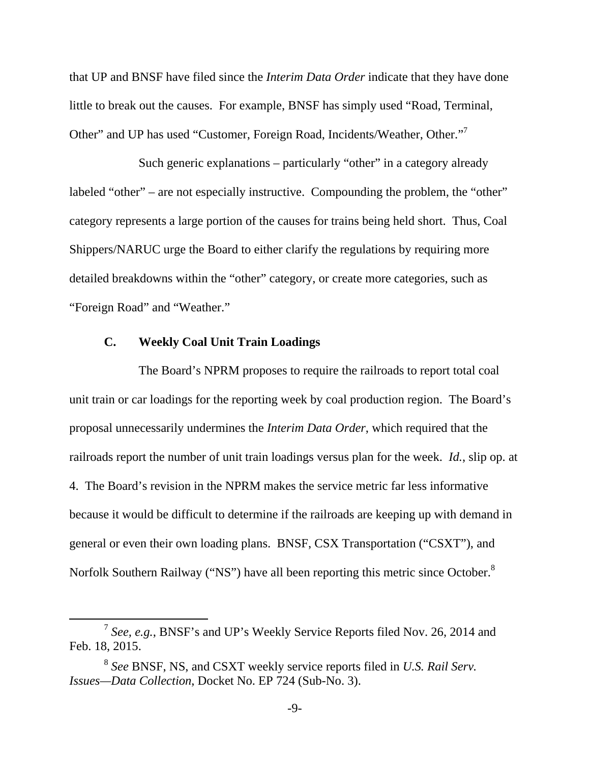that UP and BNSF have filed since the *Interim Data Order* indicate that they have done little to break out the causes. For example, BNSF has simply used "Road, Terminal, Other" and UP has used "Customer, Foreign Road, Incidents/Weather, Other."<sup>7</sup>

 Such generic explanations – particularly "other" in a category already labeled "other" – are not especially instructive. Compounding the problem, the "other" category represents a large portion of the causes for trains being held short. Thus, Coal Shippers/NARUC urge the Board to either clarify the regulations by requiring more detailed breakdowns within the "other" category, or create more categories, such as "Foreign Road" and "Weather."

#### **C. Weekly Coal Unit Train Loadings**

The Board's NPRM proposes to require the railroads to report total coal unit train or car loadings for the reporting week by coal production region. The Board's proposal unnecessarily undermines the *Interim Data Order*, which required that the railroads report the number of unit train loadings versus plan for the week. *Id.*, slip op. at 4. The Board's revision in the NPRM makes the service metric far less informative because it would be difficult to determine if the railroads are keeping up with demand in general or even their own loading plans. BNSF, CSX Transportation ("CSXT"), and Norfolk Southern Railway ("NS") have all been reporting this metric since October.<sup>8</sup>

 <sup>7</sup> *See, e.g.*, BNSF's and UP's Weekly Service Reports filed Nov. 26, 2014 and Feb. 18, 2015.

<sup>8</sup> *See* BNSF, NS, and CSXT weekly service reports filed in *U.S. Rail Serv. Issues—Data Collection*, Docket No. EP 724 (Sub-No. 3).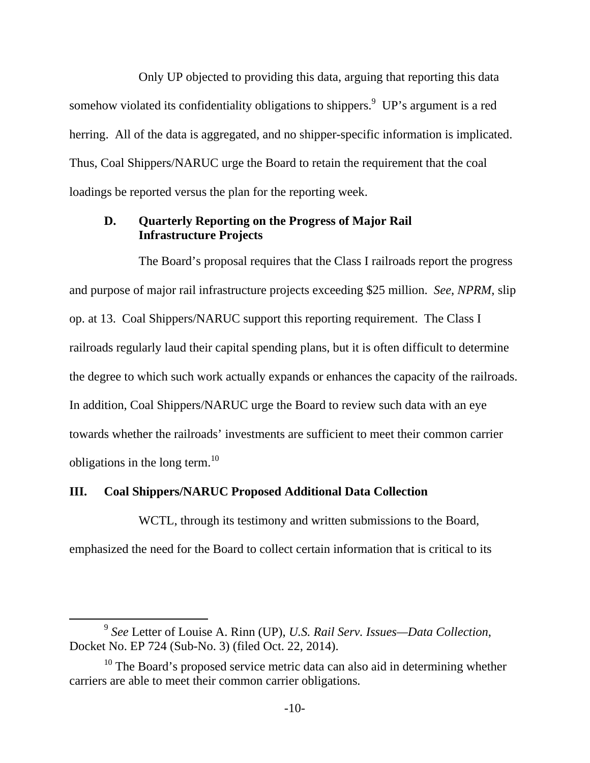Only UP objected to providing this data, arguing that reporting this data somehow violated its confidentiality obligations to shippers. $9$  UP's argument is a red herring. All of the data is aggregated, and no shipper-specific information is implicated. Thus, Coal Shippers/NARUC urge the Board to retain the requirement that the coal loadings be reported versus the plan for the reporting week.

### **D. Quarterly Reporting on the Progress of Major Rail Infrastructure Projects**

The Board's proposal requires that the Class I railroads report the progress and purpose of major rail infrastructure projects exceeding \$25 million. *See*, *NPRM*, slip op. at 13. Coal Shippers/NARUC support this reporting requirement. The Class I railroads regularly laud their capital spending plans, but it is often difficult to determine the degree to which such work actually expands or enhances the capacity of the railroads. In addition, Coal Shippers/NARUC urge the Board to review such data with an eye towards whether the railroads' investments are sufficient to meet their common carrier obligations in the long term.<sup>10</sup>

### **III. Coal Shippers/NARUC Proposed Additional Data Collection**

 WCTL, through its testimony and written submissions to the Board, emphasized the need for the Board to collect certain information that is critical to its

 <sup>9</sup> *See* Letter of Louise A. Rinn (UP), *U.S. Rail Serv. Issues—Data Collection*, Docket No. EP 724 (Sub-No. 3) (filed Oct. 22, 2014).

 $10$  The Board's proposed service metric data can also aid in determining whether carriers are able to meet their common carrier obligations.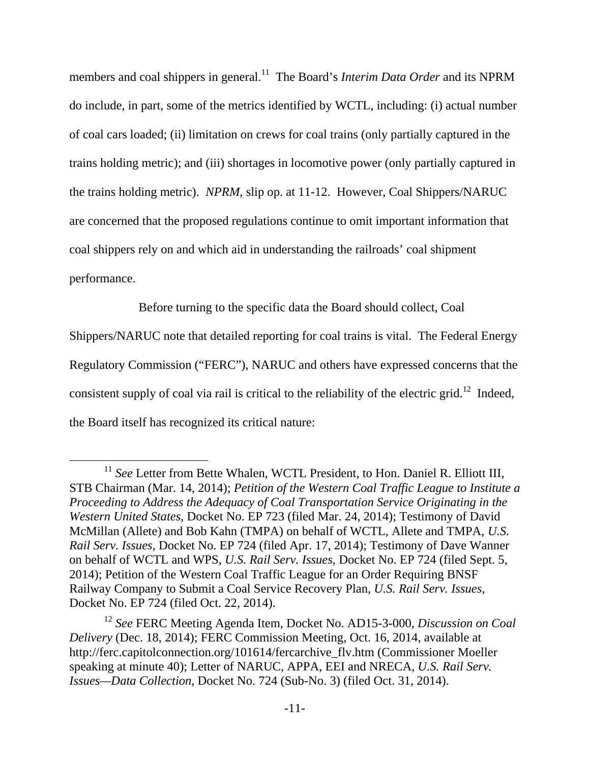members and coal shippers in general.<sup>11</sup> The Board's *Interim Data Order* and its NPRM do include, in part, some of the metrics identified by WCTL, including: (i) actual number of coal cars loaded; (ii) limitation on crews for coal trains (only partially captured in the trains holding metric); and (iii) shortages in locomotive power (only partially captured in the trains holding metric). *NPRM*, slip op. at 11-12. However, Coal Shippers/NARUC are concerned that the proposed regulations continue to omit important information that coal shippers rely on and which aid in understanding the railroads' coal shipment performance.

Before turning to the specific data the Board should collect, Coal

Shippers/NARUC note that detailed reporting for coal trains is vital. The Federal Energy Regulatory Commission ("FERC"), NARUC and others have expressed concerns that the consistent supply of coal via rail is critical to the reliability of the electric grid.<sup>12</sup> Indeed, the Board itself has recognized its critical nature:

<sup>&</sup>lt;sup>11</sup> See Letter from Bette Whalen, WCTL President, to Hon. Daniel R. Elliott III, STB Chairman (Mar. 14, 2014); *Petition of the Western Coal Traffic League to Institute a Proceeding to Address the Adequacy of Coal Transportation Service Originating in the Western United States*, Docket No. EP 723 (filed Mar. 24, 2014); Testimony of David McMillan (Allete) and Bob Kahn (TMPA) on behalf of WCTL, Allete and TMPA, *U.S. Rail Serv. Issues*, Docket No. EP 724 (filed Apr. 17, 2014); Testimony of Dave Wanner on behalf of WCTL and WPS, *U.S. Rail Serv. Issues*, Docket No. EP 724 (filed Sept. 5, 2014); Petition of the Western Coal Traffic League for an Order Requiring BNSF Railway Company to Submit a Coal Service Recovery Plan, *U.S. Rail Serv. Issues*, Docket No. EP 724 (filed Oct. 22, 2014).

<sup>12</sup> *See* FERC Meeting Agenda Item, Docket No. AD15-3-000, *Discussion on Coal Delivery* (Dec. 18, 2014); FERC Commission Meeting, Oct. 16, 2014, available at http://ferc.capitolconnection.org/101614/fercarchive\_flv.htm (Commissioner Moeller speaking at minute 40); Letter of NARUC, APPA, EEI and NRECA, *U.S. Rail Serv. Issues—Data Collection*, Docket No. 724 (Sub-No. 3) (filed Oct. 31, 2014).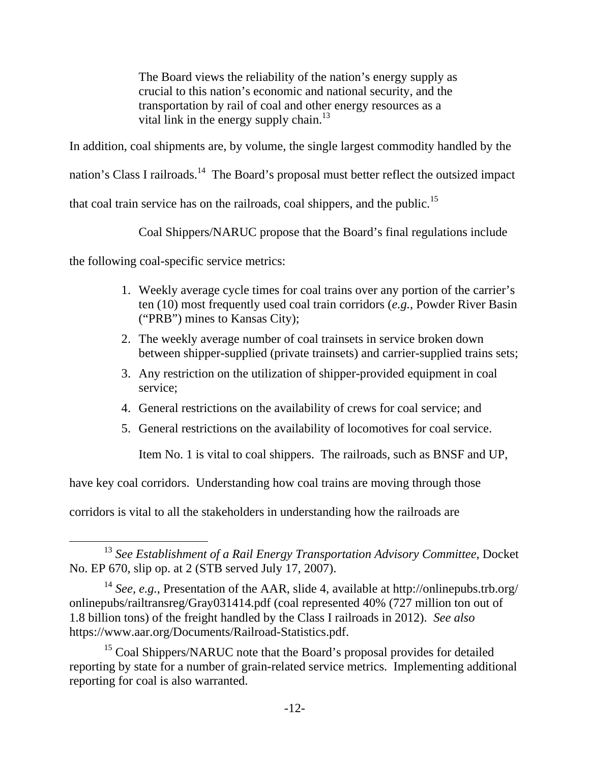The Board views the reliability of the nation's energy supply as crucial to this nation's economic and national security, and the transportation by rail of coal and other energy resources as a vital link in the energy supply chain.<sup>13</sup>

In addition, coal shipments are, by volume, the single largest commodity handled by the

nation's Class I railroads.<sup>14</sup> The Board's proposal must better reflect the outsized impact

that coal train service has on the railroads, coal shippers, and the public.<sup>15</sup>

Coal Shippers/NARUC propose that the Board's final regulations include

the following coal-specific service metrics:

- 1. Weekly average cycle times for coal trains over any portion of the carrier's ten (10) most frequently used coal train corridors (*e.g.*, Powder River Basin ("PRB") mines to Kansas City);
- 2. The weekly average number of coal trainsets in service broken down between shipper-supplied (private trainsets) and carrier-supplied trains sets;
- 3. Any restriction on the utilization of shipper-provided equipment in coal service;
- 4. General restrictions on the availability of crews for coal service; and
- 5. General restrictions on the availability of locomotives for coal service.

Item No. 1 is vital to coal shippers. The railroads, such as BNSF and UP,

have key coal corridors. Understanding how coal trains are moving through those

corridors is vital to all the stakeholders in understanding how the railroads are

 <sup>13</sup> *See Establishment of a Rail Energy Transportation Advisory Committee*, Docket No. EP 670, slip op. at 2 (STB served July 17, 2007).

<sup>14</sup> *See, e.g.*, Presentation of the AAR, slide 4, available at http://onlinepubs.trb.org/ onlinepubs/railtransreg/Gray031414.pdf (coal represented 40% (727 million ton out of 1.8 billion tons) of the freight handled by the Class I railroads in 2012). *See also* https://www.aar.org/Documents/Railroad-Statistics.pdf.

<sup>&</sup>lt;sup>15</sup> Coal Shippers/NARUC note that the Board's proposal provides for detailed reporting by state for a number of grain-related service metrics. Implementing additional reporting for coal is also warranted.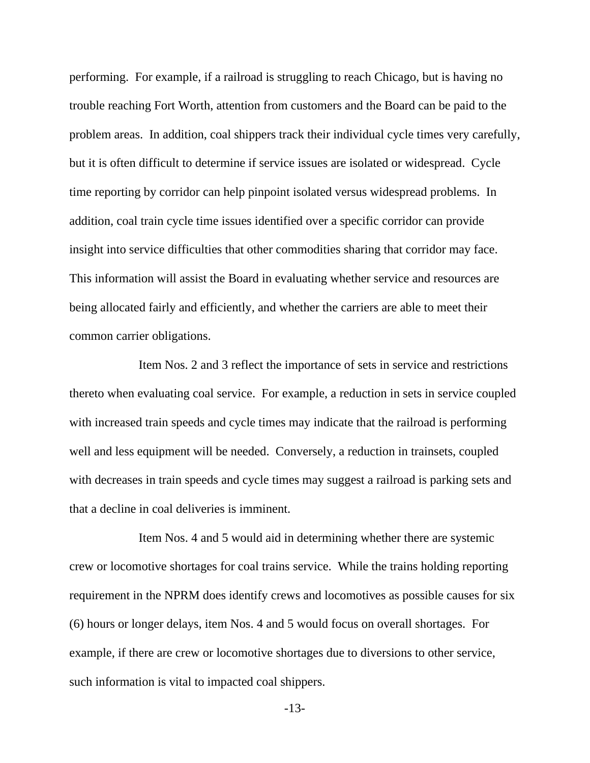performing. For example, if a railroad is struggling to reach Chicago, but is having no trouble reaching Fort Worth, attention from customers and the Board can be paid to the problem areas. In addition, coal shippers track their individual cycle times very carefully, but it is often difficult to determine if service issues are isolated or widespread. Cycle time reporting by corridor can help pinpoint isolated versus widespread problems. In addition, coal train cycle time issues identified over a specific corridor can provide insight into service difficulties that other commodities sharing that corridor may face. This information will assist the Board in evaluating whether service and resources are being allocated fairly and efficiently, and whether the carriers are able to meet their common carrier obligations.

 Item Nos. 2 and 3 reflect the importance of sets in service and restrictions thereto when evaluating coal service. For example, a reduction in sets in service coupled with increased train speeds and cycle times may indicate that the railroad is performing well and less equipment will be needed. Conversely, a reduction in trainsets, coupled with decreases in train speeds and cycle times may suggest a railroad is parking sets and that a decline in coal deliveries is imminent.

 Item Nos. 4 and 5 would aid in determining whether there are systemic crew or locomotive shortages for coal trains service. While the trains holding reporting requirement in the NPRM does identify crews and locomotives as possible causes for six (6) hours or longer delays, item Nos. 4 and 5 would focus on overall shortages. For example, if there are crew or locomotive shortages due to diversions to other service, such information is vital to impacted coal shippers.

-13-